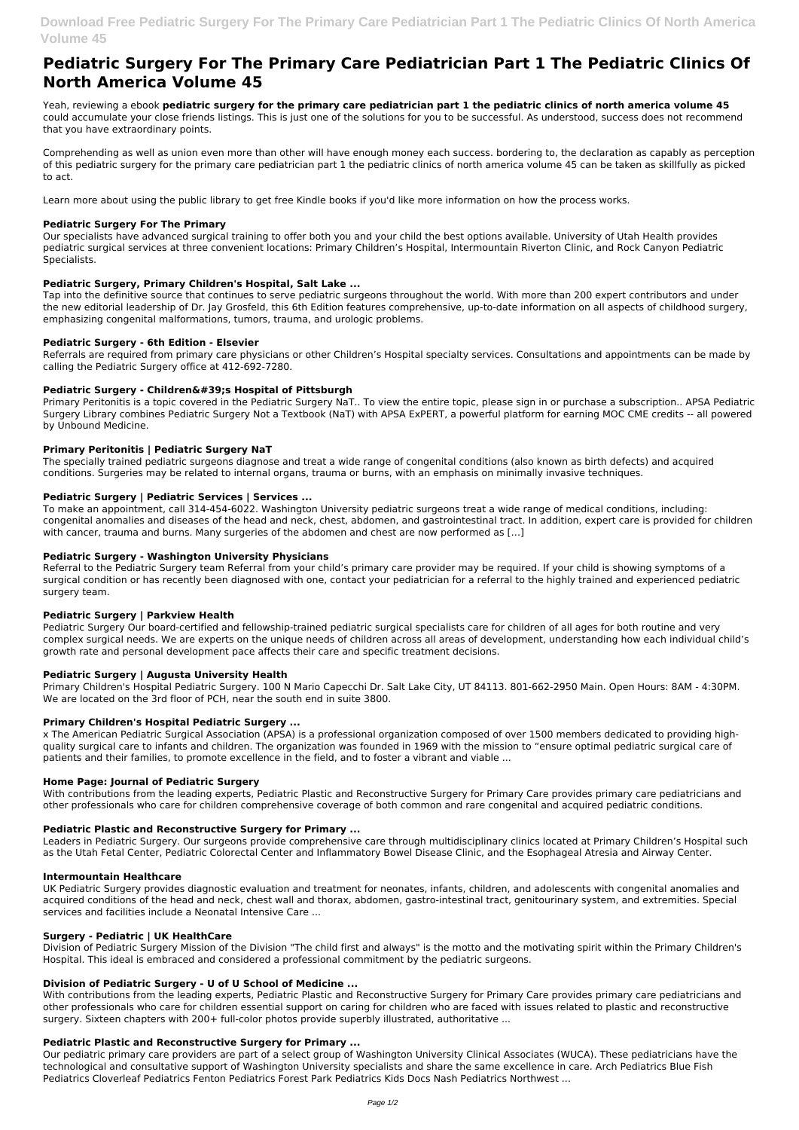# **Pediatric Surgery For The Primary Care Pediatrician Part 1 The Pediatric Clinics Of North America Volume 45**

Yeah, reviewing a ebook **pediatric surgery for the primary care pediatrician part 1 the pediatric clinics of north america volume 45** could accumulate your close friends listings. This is just one of the solutions for you to be successful. As understood, success does not recommend that you have extraordinary points.

Comprehending as well as union even more than other will have enough money each success. bordering to, the declaration as capably as perception of this pediatric surgery for the primary care pediatrician part 1 the pediatric clinics of north america volume 45 can be taken as skillfully as picked to act.

Learn more about using the public library to get free Kindle books if you'd like more information on how the process works.

## **Pediatric Surgery For The Primary**

Our specialists have advanced surgical training to offer both you and your child the best options available. University of Utah Health provides pediatric surgical services at three convenient locations: Primary Children's Hospital, Intermountain Riverton Clinic, and Rock Canyon Pediatric Specialists.

## **Pediatric Surgery, Primary Children's Hospital, Salt Lake ...**

Tap into the definitive source that continues to serve pediatric surgeons throughout the world. With more than 200 expert contributors and under the new editorial leadership of Dr. Jay Grosfeld, this 6th Edition features comprehensive, up-to-date information on all aspects of childhood surgery, emphasizing congenital malformations, tumors, trauma, and urologic problems.

## **Pediatric Surgery - 6th Edition - Elsevier**

Referrals are required from primary care physicians or other Children's Hospital specialty services. Consultations and appointments can be made by calling the Pediatric Surgery office at 412-692-7280.

## Pediatric Surgery - Children's Hospital of Pittsburgh

Primary Peritonitis is a topic covered in the Pediatric Surgery NaT.. To view the entire topic, please sign in or purchase a subscription.. APSA Pediatric Surgery Library combines Pediatric Surgery Not a Textbook (NaT) with APSA ExPERT, a powerful platform for earning MOC CME credits -- all powered by Unbound Medicine.

## **Primary Peritonitis | Pediatric Surgery NaT**

The specially trained pediatric surgeons diagnose and treat a wide range of congenital conditions (also known as birth defects) and acquired conditions. Surgeries may be related to internal organs, trauma or burns, with an emphasis on minimally invasive techniques.

## **Pediatric Surgery | Pediatric Services | Services ...**

To make an appointment, call 314-454-6022. Washington University pediatric surgeons treat a wide range of medical conditions, including: congenital anomalies and diseases of the head and neck, chest, abdomen, and gastrointestinal tract. In addition, expert care is provided for children with cancer, trauma and burns. Many surgeries of the abdomen and chest are now performed as […]

With contributions from the leading experts, Pediatric Plastic and Reconstructive Surgery for Primary Care provides primary care pediatricians and other professionals who care for children essential support on caring for children who are faced with issues related to plastic and reconstructive surgery. Sixteen chapters with 200+ full-color photos provide superbly illustrated, authoritative ...

## **Pediatric Surgery - Washington University Physicians**

Referral to the Pediatric Surgery team Referral from your child's primary care provider may be required. If your child is showing symptoms of a surgical condition or has recently been diagnosed with one, contact your pediatrician for a referral to the highly trained and experienced pediatric surgery team.

## **Pediatric Surgery | Parkview Health**

Pediatric Surgery Our board-certified and fellowship-trained pediatric surgical specialists care for children of all ages for both routine and very complex surgical needs. We are experts on the unique needs of children across all areas of development, understanding how each individual child's growth rate and personal development pace affects their care and specific treatment decisions.

## **Pediatric Surgery | Augusta University Health**

Primary Children's Hospital Pediatric Surgery. 100 N Mario Capecchi Dr. Salt Lake City, UT 84113. 801-662-2950 Main. Open Hours: 8AM - 4:30PM. We are located on the 3rd floor of PCH, near the south end in suite 3800.

## **Primary Children's Hospital Pediatric Surgery ...**

x The American Pediatric Surgical Association (APSA) is a professional organization composed of over 1500 members dedicated to providing highquality surgical care to infants and children. The organization was founded in 1969 with the mission to "ensure optimal pediatric surgical care of patients and their families, to promote excellence in the field, and to foster a vibrant and viable ...

## **Home Page: Journal of Pediatric Surgery**

With contributions from the leading experts, Pediatric Plastic and Reconstructive Surgery for Primary Care provides primary care pediatricians and other professionals who care for children comprehensive coverage of both common and rare congenital and acquired pediatric conditions.

## **Pediatric Plastic and Reconstructive Surgery for Primary ...**

Leaders in Pediatric Surgery. Our surgeons provide comprehensive care through multidisciplinary clinics located at Primary Children's Hospital such as the Utah Fetal Center, Pediatric Colorectal Center and Inflammatory Bowel Disease Clinic, and the Esophageal Atresia and Airway Center.

#### **Intermountain Healthcare**

UK Pediatric Surgery provides diagnostic evaluation and treatment for neonates, infants, children, and adolescents with congenital anomalies and acquired conditions of the head and neck, chest wall and thorax, abdomen, gastro-intestinal tract, genitourinary system, and extremities. Special services and facilities include a Neonatal Intensive Care ...

#### **Surgery - Pediatric | UK HealthCare**

Division of Pediatric Surgery Mission of the Division "The child first and always" is the motto and the motivating spirit within the Primary Children's Hospital. This ideal is embraced and considered a professional commitment by the pediatric surgeons.

#### **Division of Pediatric Surgery - U of U School of Medicine ...**

#### **Pediatric Plastic and Reconstructive Surgery for Primary ...**

Our pediatric primary care providers are part of a select group of Washington University Clinical Associates (WUCA). These pediatricians have the technological and consultative support of Washington University specialists and share the same excellence in care. Arch Pediatrics Blue Fish Pediatrics Cloverleaf Pediatrics Fenton Pediatrics Forest Park Pediatrics Kids Docs Nash Pediatrics Northwest ...